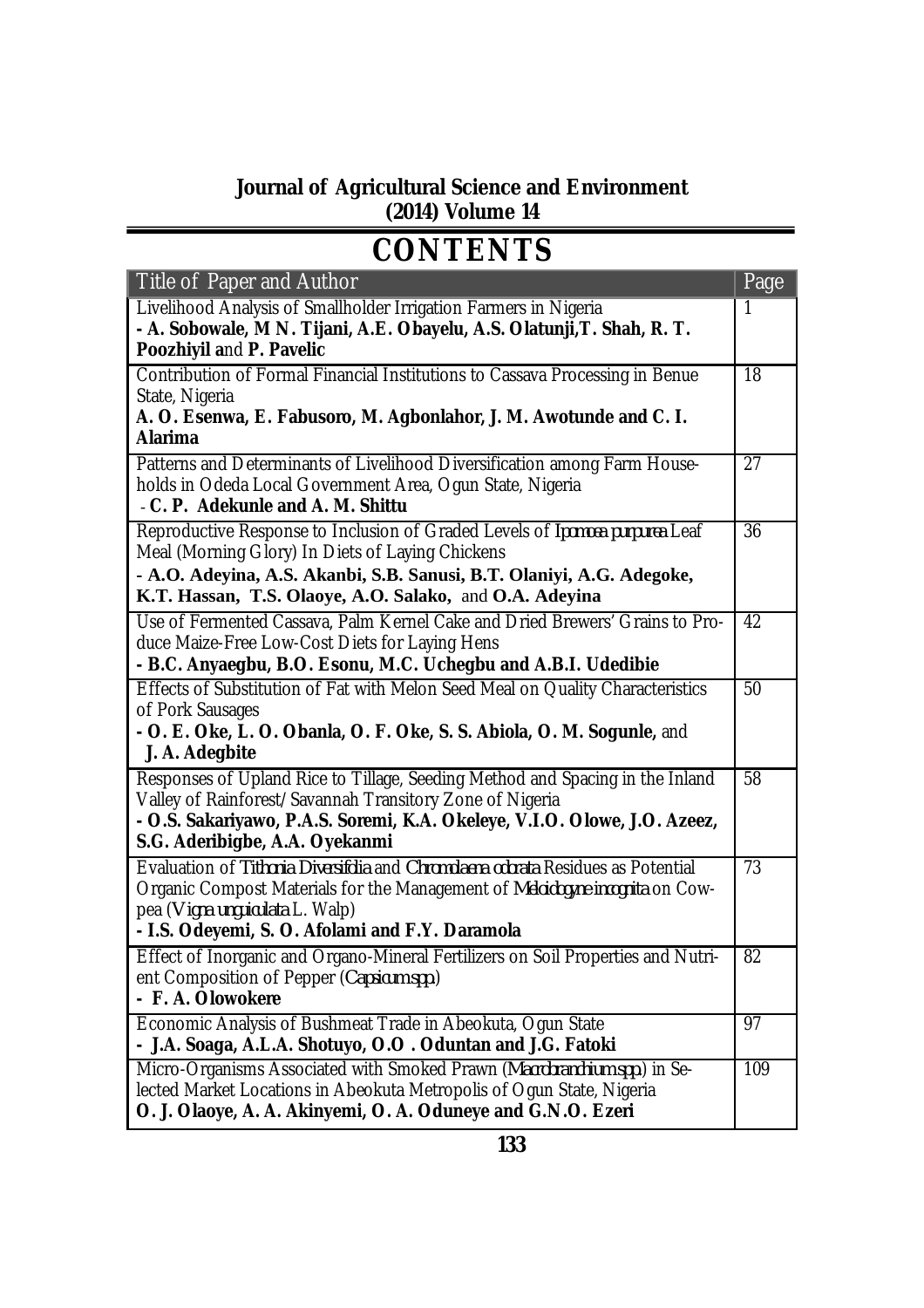## **Journal of Agricultural Science and Environment (2014) Volume 14**

## **CONTENTS**

| Title of Paper and Author                                                                                                                                                                                                                                | Page            |
|----------------------------------------------------------------------------------------------------------------------------------------------------------------------------------------------------------------------------------------------------------|-----------------|
| Livelihood Analysis of Smallholder Irrigation Farmers in Nigeria<br>- A. Sobowale, M N. Tijani, A.E. Obayelu, A.S. Olatunji, T. Shah, R. T.<br>Poozhiyil and P. Pavelic                                                                                  |                 |
| Contribution of Formal Financial Institutions to Cassava Processing in Benue<br>State, Nigeria<br>A. O. Esenwa, E. Fabusoro, M. Agbonlahor, J. M. Awotunde and C. I.                                                                                     | $\overline{18}$ |
| <b>Alarima</b>                                                                                                                                                                                                                                           |                 |
| Patterns and Determinants of Livelihood Diversification among Farm House-<br>holds in Odeda Local Government Area, Ogun State, Nigeria<br>- C. P. Adekunle and A. M. Shittu                                                                              | $\overline{27}$ |
| Reproductive Response to Inclusion of Graded Levels of Ipomoea purpurea Leaf<br>Meal (Morning Glory) In Diets of Laying Chickens                                                                                                                         | 36              |
| - A.O. Adeyina, A.S. Akanbi, S.B. Sanusi, B.T. Olaniyi, A.G. Adegoke,<br>K.T. Hassan, T.S. Olaoye, A.O. Salako, and O.A. Adeyina                                                                                                                         |                 |
| Use of Fermented Cassava, Palm Kernel Cake and Dried Brewers' Grains to Pro-<br>duce Maize-Free Low-Cost Diets for Laying Hens<br>- B.C. Anyaegbu, B.O. Esonu, M.C. Uchegbu and A.B.I. Udedibie                                                          | 42              |
| Effects of Substitution of Fat with Melon Seed Meal on Quality Characteristics<br>of Pork Sausages<br>- O. E. Oke, L. O. Obanla, O. F. Oke, S. S. Abiola, O. M. Sogunle, and<br>J. A. Adegbite                                                           | 50              |
| Responses of Upland Rice to Tillage, Seeding Method and Spacing in the Inland<br>Valley of Rainforest/Savannah Transitory Zone of Nigeria<br>- O.S. Sakariyawo, P.A.S. Soremi, K.A. Okeleye, V.I.O. Olowe, J.O. Azeez,<br>S.G. Aderibigbe, A.A. Oyekanmi | $\overline{58}$ |
| Evaluation of Tithonia Diversifolia and Chromolaena odorata Residues as Potential<br>Organic Compost Materials for the Management of Meloidogyne incognita on Cow-<br>pea (Vigna unguiculata L. Walp)<br>- I.S. Odeyemi, S. O. Afolami and F.Y. Daramola | 73              |
| Effect of Inorganic and Organo-Mineral Fertilizers on Soil Properties and Nutri-<br>ent Composition of Pepper (Capsicum spp.)<br>- F. A. Olowokere                                                                                                       | 82              |
| Economic Analysis of Bushmeat Trade in Abeokuta, Ogun State<br>- J.A. Soaga, A.L.A. Shotuyo, O.O. Oduntan and J.G. Fatoki                                                                                                                                | 97              |
| Micro-Organisms Associated with Smoked Prawn (Macrobranchium spp.) in Se-<br>lected Market Locations in Abeokuta Metropolis of Ogun State, Nigeria<br>O. J. Olaoye, A. A. Akinyemi, O. A. Oduneye and G.N.O. Ezeri                                       | 109             |